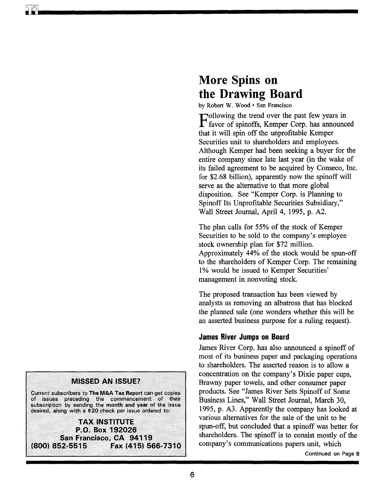# **More Spins on the Drawing Board**

by Robert W. Wood · San Francisco

Following the trend over the past few years in<br>favor of spinoffs, Kemper Corp. has announced that it will spin off the unprofitable Kemper Securities unit to shareholders and employees. Although Kemper had been seeking a buyer for the entire company since late last year (in the wake of its failed agreement to be acquired by Conseco, Inc. for \$2.68 billion), apparently now the spinoff will serve as the alternative to that more global disposition. See "Kemper Corp. is Planning to Spinoff Its Unprofitable Securities Subsidiary," Wall Street Journal, April 4, 1995, p. A2.

The plan calls for 55% of the stock of Kemper Securities to be sold to the company's employee stock ownership plan for \$72 million. Approximately 44% of the stock would be spun-off to the shareholders of Kemper Corp. The remaining 1% would be issued to Kemper Securities' management in nonvoting stock.

The proposed transaction has been viewed by analysts as removing an albatross that has blocked the planned sale (one wonders whether this will be an asserted business purpose for a ruling request).

## **James River Jumps on Board**

James River Corp. has also announced a spinoff of most of its business paper and packaging operations to shareholders. The asserted reason is to allow a concentration on the company's Dixie paper cups, Brawny paper towels, and other consumer paper products. See "James River Sets Spinoff of Some Business Lines," Wall Street Journal, March 30, 1995, p. A3. Apparently the company has looked at various alternatives for the sale of the unit to be spun-off, but concluded that a spinoff was better for shareholders. The spinoff is to consist mostly of the company's communications papers unit, which



Current subscribers to The M&A Tax Report can get copies of issues preceding the commencement of their subscription by sending the month and year of the issue desired, along with a \$20 check per issue ordered to:

**TAX INSTRUITE** P.O. Box 192026 San Francisco, CA 94119 (800) 852-5515 Fax (415) 566-7310